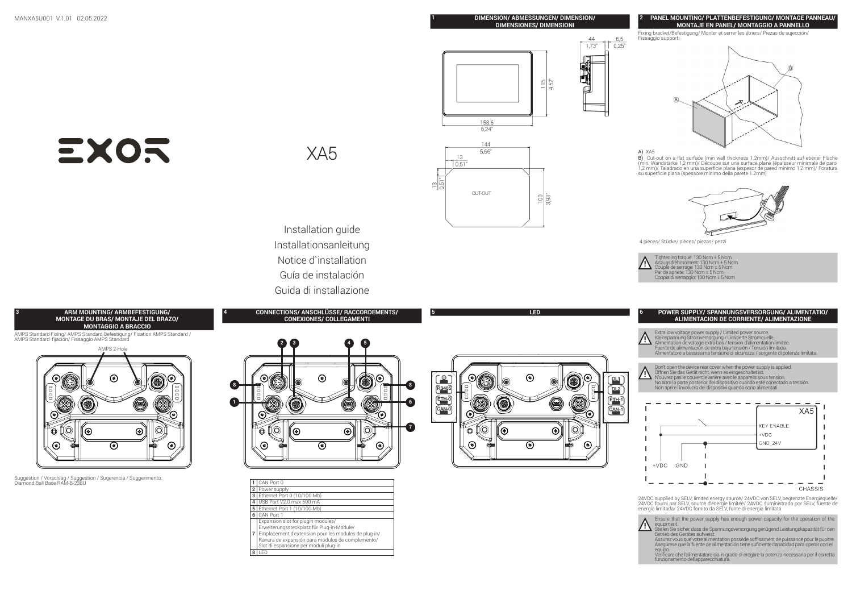# MANXA5U001 V.1.01 02.05.2022 **1 DIMENSION/ ABMESSUNGEN/ DIMENSION/**

#### **DIMENSIONES/ DIMENSIONI**



Fixing bracket/Befestigung/ Monter et serrer les étriers/ Piezas de sujección/ Fissaggio supporti